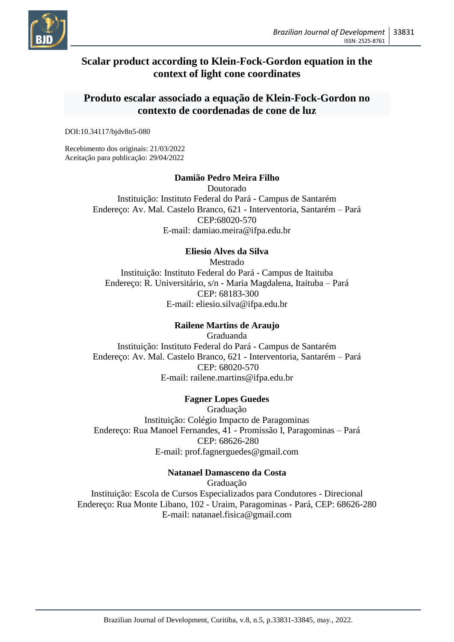

# **Scalar product according to Klein-Fock-Gordon equation in the context of light cone coordinates**

# **Produto escalar associado a equação de Klein-Fock-Gordon no contexto de coordenadas de cone de luz**

DOI:10.34117/bjdv8n5-080

Recebimento dos originais: 21/03/2022 Aceitação para publicação: 29/04/2022

# **Damião Pedro Meira Filho**

Doutorado Instituição: Instituto Federal do Pará - Campus de Santarém Endereço: Av. Mal. Castelo Branco, 621 - Interventoria, Santarém – Pará CEP:68020-570 E-mail: damiao.meira@ifpa.edu.br

# **Eliesio Alves da Silva**

Mestrado Instituição: Instituto Federal do Pará - Campus de Itaituba Endereço: R. Universitário, s/n - Maria Magdalena, Itaituba – Pará CEP: 68183-300 E-mail: eliesio.silva@ifpa.edu.br

# **Railene Martins de Araujo**

Graduanda Instituição: Instituto Federal do Pará - Campus de Santarém Endereço: Av. Mal. Castelo Branco, 621 - Interventoria, Santarém – Pará CEP: 68020-570 E-mail: railene.martins@ifpa.edu.br

# **Fagner Lopes Guedes**

Graduação Instituição: Colégio Impacto de Paragominas Endereço: Rua Manoel Fernandes, 41 - Promissão I, Paragominas – Pará CEP: 68626-280 E-mail: prof.fagnerguedes@gmail.com

# **Natanael Damasceno da Costa**

Graduação Instituição: Escola de Cursos Especializados para Condutores - Direcional Endereço: Rua Monte Libano, 102 - Uraim, Paragominas - Pará, CEP: 68626-280 E-mail: natanael.fisica@gmail.com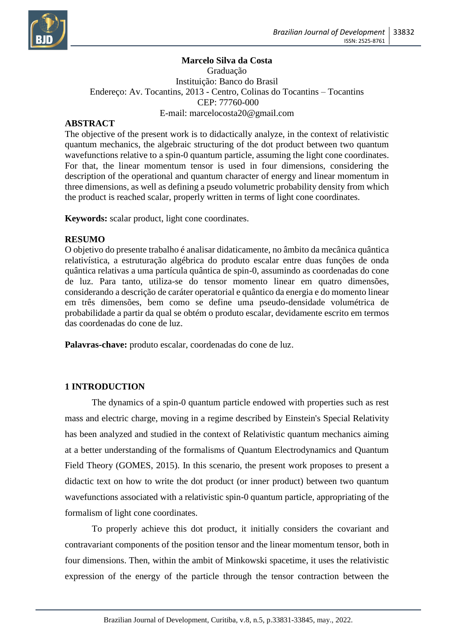

# **Marcelo Silva da Costa**

Graduação Instituição: Banco do Brasil Endereço: Av. Tocantins, 2013 - Centro, Colinas do Tocantins – Tocantins CEP: 77760-000 E-mail: marcelocosta20@gmail.com

# **ABSTRACT**

The objective of the present work is to didactically analyze, in the context of relativistic quantum mechanics, the algebraic structuring of the dot product between two quantum wavefunctions relative to a spin-0 quantum particle, assuming the light cone coordinates. For that, the linear momentum tensor is used in four dimensions, considering the description of the operational and quantum character of energy and linear momentum in three dimensions, as well as defining a pseudo volumetric probability density from which the product is reached scalar, properly written in terms of light cone coordinates.

**Keywords:** scalar product, light cone coordinates.

# **RESUMO**

O objetivo do presente trabalho é analisar didaticamente, no âmbito da mecânica quântica relativística, a estruturação algébrica do produto escalar entre duas funções de onda quântica relativas a uma partícula quântica de spin-0, assumindo as coordenadas do cone de luz. Para tanto, utiliza-se do tensor momento linear em quatro dimensões, considerando a descrição de caráter operatorial e quântico da energia e do momento linear em três dimensões, bem como se define uma pseudo-densidade volumétrica de probabilidade a partir da qual se obtém o produto escalar, devidamente escrito em termos das coordenadas do cone de luz.

Palavras-chave: produto escalar, coordenadas do cone de luz.

# **1 INTRODUCTION**

The dynamics of a spin-0 quantum particle endowed with properties such as rest mass and electric charge, moving in a regime described by Einstein's Special Relativity has been analyzed and studied in the context of Relativistic quantum mechanics aiming at a better understanding of the formalisms of Quantum Electrodynamics and Quantum Field Theory (GOMES, 2015). In this scenario, the present work proposes to present a didactic text on how to write the dot product (or inner product) between two quantum wavefunctions associated with a relativistic spin-0 quantum particle, appropriating of the formalism of light cone coordinates.

To properly achieve this dot product, it initially considers the covariant and contravariant components of the position tensor and the linear momentum tensor, both in four dimensions. Then, within the ambit of Minkowski spacetime, it uses the relativistic expression of the energy of the particle through the tensor contraction between the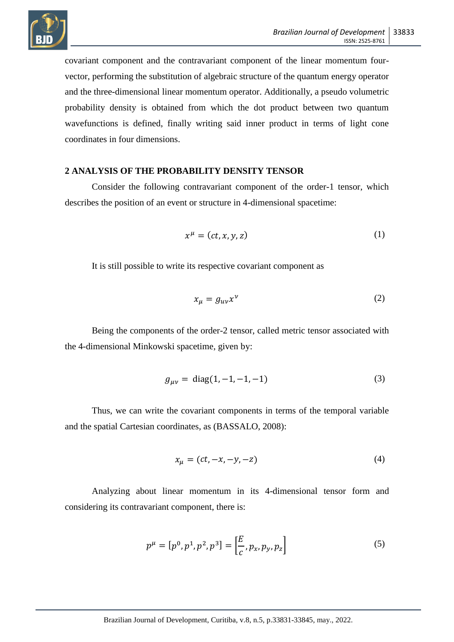

covariant component and the contravariant component of the linear momentum fourvector, performing the substitution of algebraic structure of the quantum energy operator and the three-dimensional linear momentum operator. Additionally, a pseudo volumetric probability density is obtained from which the dot product between two quantum wavefunctions is defined, finally writing said inner product in terms of light cone coordinates in four dimensions.

#### **2 ANALYSIS OF THE PROBABILITY DENSITY TENSOR**

Consider the following contravariant component of the order-1 tensor, which describes the position of an event or structure in 4-dimensional spacetime:

$$
x^{\mu} = (ct, x, y, z) \tag{1}
$$

It is still possible to write its respective covariant component as

$$
x_{\mu} = g_{uv} x^{\nu} \tag{2}
$$

Being the components of the order-2 tensor, called metric tensor associated with the 4-dimensional Minkowski spacetime, given by:

$$
g_{\mu\nu} = \text{diag}(1, -1, -1, -1) \tag{3}
$$

Thus, we can write the covariant components in terms of the temporal variable and the spatial Cartesian coordinates, as (BASSALO, 2008):

$$
x_{\mu} = (ct, -x, -y, -z) \tag{4}
$$

Analyzing about linear momentum in its 4-dimensional tensor form and considering its contravariant component, there is:

$$
p^{\mu} = [p^0, p^1, p^2, p^3] = \left[\frac{E}{c}, p_x, p_y, p_z\right]
$$
 (5)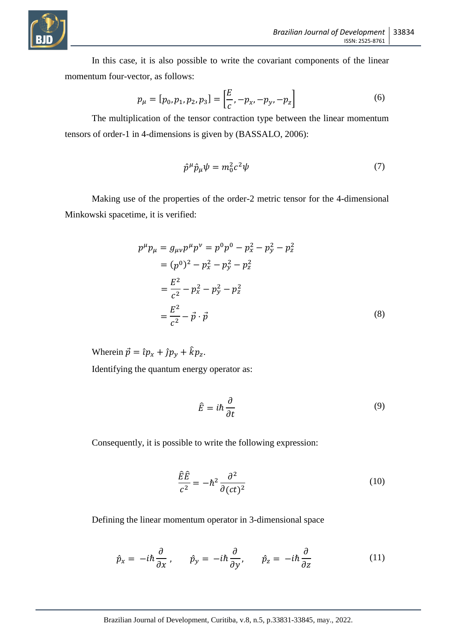

In this case, it is also possible to write the covariant components of the linear momentum four-vector, as follows:

$$
p_{\mu} = [p_0, p_1, p_2, p_3] = \left[\frac{E}{c}, -p_x, -p_y, -p_z\right]
$$
 (6)

The multiplication of the tensor contraction type between the linear momentum tensors of order-1 in 4-dimensions is given by (BASSALO, 2006):

$$
\hat{p}^{\mu}\hat{p}_{\mu}\psi = m_0^2 c^2 \psi \tag{7}
$$

Making use of the properties of the order-2 metric tensor for the 4-dimensional Minkowski spacetime, it is verified:

$$
p^{\mu}p_{\mu} = g_{\mu\nu}p^{\mu}p^{\nu} = p^{0}p^{0} - p_{x}^{2} - p_{y}^{2} - p_{z}^{2}
$$
  
=  $(p^{0})^{2} - p_{x}^{2} - p_{y}^{2} - p_{z}^{2}$   
=  $\frac{E^{2}}{c^{2}} - p_{x}^{2} - p_{y}^{2} - p_{z}^{2}$   
=  $\frac{E^{2}}{c^{2}} - \vec{p} \cdot \vec{p}$  (8)

Wherein  $\vec{p} = \hat{i}p_x + \hat{j}p_y + \hat{k}p_z$ .

Identifying the quantum energy operator as:

$$
\hat{E} = i\hbar \frac{\partial}{\partial t} \tag{9}
$$

Consequently, it is possible to write the following expression:

$$
\frac{\hat{E}\hat{E}}{c^2} = -\hbar^2 \frac{\partial^2}{\partial (ct)^2}
$$
 (10)

Defining the linear momentum operator in 3-dimensional space

$$
\hat{p}_x = -i\hbar \frac{\partial}{\partial x} , \qquad \hat{p}_y = -i\hbar \frac{\partial}{\partial y} , \qquad \hat{p}_z = -i\hbar \frac{\partial}{\partial z}
$$
 (11)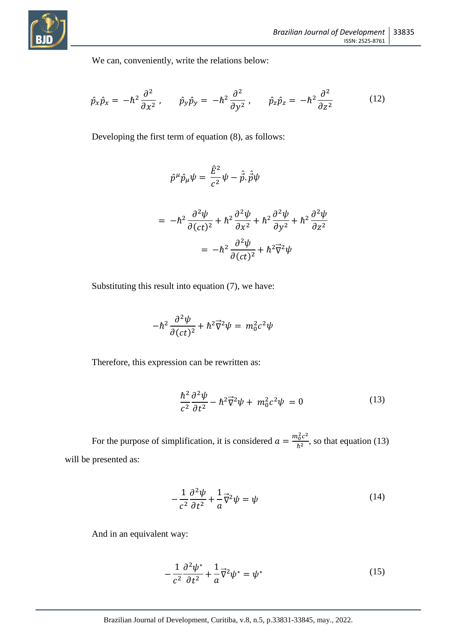

We can, conveniently, write the relations below:

$$
\hat{p}_x \hat{p}_x = -\hbar^2 \frac{\partial^2}{\partial x^2}, \qquad \hat{p}_y \hat{p}_y = -\hbar^2 \frac{\partial^2}{\partial y^2}, \qquad \hat{p}_z \hat{p}_z = -\hbar^2 \frac{\partial^2}{\partial z^2}
$$
(12)

Developing the first term of equation (8), as follows:

$$
\hat{p}^{\mu}\hat{p}_{\mu}\psi = \frac{\hat{E}^{2}}{c^{2}}\psi - \hat{\vec{p}}.\hat{\vec{p}}\psi
$$
  
= 
$$
-\hbar^{2}\frac{\partial^{2}\psi}{\partial(ct)^{2}} + \hbar^{2}\frac{\partial^{2}\psi}{\partial x^{2}} + \hbar^{2}\frac{\partial^{2}\psi}{\partial y^{2}} + \hbar^{2}\frac{\partial^{2}\psi}{\partial z^{2}}
$$
  
= 
$$
-\hbar^{2}\frac{\partial^{2}\psi}{\partial(ct)^{2}} + \hbar^{2}\vec{\nabla}^{2}\psi
$$

Substituting this result into equation (7), we have:

$$
-\hbar^2\frac{\partial^2\psi}{\partial(ct)^2} + \hbar^2\vec{\nabla}^2\psi = m_0^2c^2\psi
$$

Therefore, this expression can be rewritten as:

$$
\frac{\hbar^2}{c^2} \frac{\partial^2 \psi}{\partial t^2} - \hbar^2 \vec{\nabla}^2 \psi + m_0^2 c^2 \psi = 0 \tag{13}
$$

For the purpose of simplification, it is considered  $a = \frac{m_0^2 c^2}{\hbar^2}$  $\frac{\mu_0 c}{\hbar^2}$ , so that equation (13) will be presented as:

$$
-\frac{1}{c^2}\frac{\partial^2\psi}{\partial t^2} + \frac{1}{a}\vec{\nabla}^2\psi = \psi\tag{14}
$$

And in an equivalent way:

$$
-\frac{1}{c^2}\frac{\partial^2\psi^*}{\partial t^2} + \frac{1}{a}\vec{\nabla}^2\psi^* = \psi^*
$$
 (15)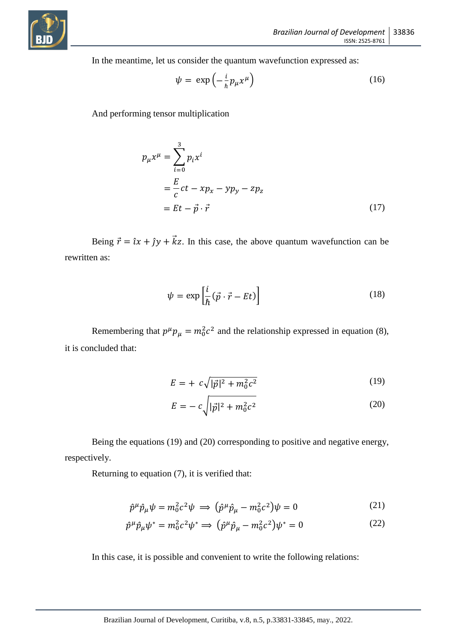

In the meantime, let us consider the quantum wavefunction expressed as:

$$
\psi = \exp\left(-\frac{i}{\hbar}p_{\mu}x^{\mu}\right) \tag{16}
$$

And performing tensor multiplication

$$
p_{\mu}x^{\mu} = \sum_{i=0}^{3} p_{i}x^{i}
$$
  
=  $\frac{E}{c}ct - xp_{x} - yp_{y} - zp_{z}$   
=  $Et - \vec{p} \cdot \vec{r}$  (17)

Being  $\vec{r} = \hat{i}x + \hat{j}y + \vec{k}z$ . In this case, the above quantum wavefunction can be rewritten as:

$$
\psi = \exp\left[\frac{i}{\hbar}(\vec{p} \cdot \vec{r} - Et)\right]
$$
\n(18)

Remembering that  $p^{\mu}p_{\mu} = m_0^2 c^2$  and the relationship expressed in equation (8), it is concluded that:

$$
E = + c\sqrt{|\vec{p}|^2 + m_0^2 c^2}
$$
 (19)

$$
E = -c\sqrt{|\vec{p}|^2 + m_0^2 c^2}
$$
 (20)

Being the equations (19) and (20) corresponding to positive and negative energy, respectively.

Returning to equation (7), it is verified that:

$$
\hat{p}^{\mu}\hat{p}_{\mu}\psi = m_0^2 c^2 \psi \implies (\hat{p}^{\mu}\hat{p}_{\mu} - m_0^2 c^2)\psi = 0 \tag{21}
$$

$$
\hat{p}^{\mu}\hat{p}_{\mu}\psi^* = m_0^2 c^2 \psi^* \Longrightarrow (\hat{p}^{\mu}\hat{p}_{\mu} - m_0^2 c^2)\psi^* = 0 \tag{22}
$$

In this case, it is possible and convenient to write the following relations: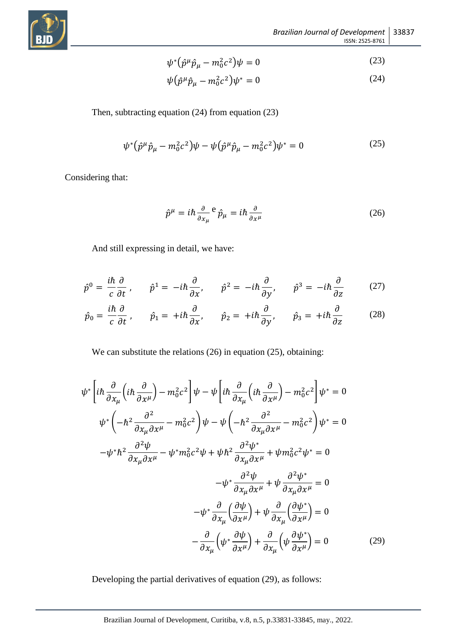

$$
\psi^* \left( \hat{p}^\mu \hat{p}_\mu - m_0^2 c^2 \right) \psi = 0 \tag{23}
$$

$$
\psi(\hat{p}^{\mu}\hat{p}_{\mu} - m_0^2 c^2)\psi^* = 0\tag{24}
$$

Then, subtracting equation (24) from equation (23)

$$
\psi^* \left( \hat{p}^\mu \hat{p}_\mu - m_0^2 c^2 \right) \psi - \psi \left( \hat{p}^\mu \hat{p}_\mu - m_0^2 c^2 \right) \psi^* = 0 \tag{25}
$$

Considering that:

$$
\hat{p}^{\mu} = i\hbar \frac{\partial}{\partial x_{\mu}}^{\ e} \hat{p}_{\mu} = i\hbar \frac{\partial}{\partial x^{\mu}}
$$
\n(26)

And still expressing in detail, we have:

$$
\hat{p}^0 = \frac{i\hbar}{c} \frac{\partial}{\partial t}, \qquad \hat{p}^1 = -i\hbar \frac{\partial}{\partial x}, \qquad \hat{p}^2 = -i\hbar \frac{\partial}{\partial y}, \qquad \hat{p}^3 = -i\hbar \frac{\partial}{\partial z} \tag{27}
$$

$$
\hat{p}_0 = \frac{i\hbar}{c} \frac{\partial}{\partial t}, \qquad \hat{p}_1 = +i\hbar \frac{\partial}{\partial x}, \qquad \hat{p}_2 = +i\hbar \frac{\partial}{\partial y}, \qquad \hat{p}_3 = +i\hbar \frac{\partial}{\partial z}
$$
(28)

We can substitute the relations (26) in equation (25), obtaining:

$$
\psi^* \left[ i\hbar \frac{\partial}{\partial x_\mu} \left( i\hbar \frac{\partial}{\partial x^\mu} \right) - m_0^2 c^2 \right] \psi - \psi \left[ i\hbar \frac{\partial}{\partial x_\mu} \left( i\hbar \frac{\partial}{\partial x^\mu} \right) - m_0^2 c^2 \right] \psi^* = 0
$$
  

$$
\psi^* \left( -\hbar^2 \frac{\partial^2}{\partial x_\mu \partial x^\mu} - m_0^2 c^2 \right) \psi - \psi \left( -\hbar^2 \frac{\partial^2}{\partial x_\mu \partial x^\mu} - m_0^2 c^2 \right) \psi^* = 0
$$
  

$$
-\psi^* \hbar^2 \frac{\partial^2 \psi}{\partial x_\mu \partial x^\mu} - \psi^* m_0^2 c^2 \psi + \psi \hbar^2 \frac{\partial^2 \psi^*}{\partial x_\mu \partial x^\mu} + \psi m_0^2 c^2 \psi^* = 0
$$
  

$$
-\psi^* \frac{\partial^2 \psi}{\partial x_\mu \partial x^\mu} + \psi \frac{\partial^2 \psi^*}{\partial x_\mu \partial x^\mu} = 0
$$
  

$$
-\psi^* \frac{\partial}{\partial x_\mu} \left( \frac{\partial \psi}{\partial x^\mu} \right) + \psi \frac{\partial}{\partial x_\mu} \left( \frac{\partial \psi^*}{\partial x^\mu} \right) = 0
$$
  

$$
-\frac{\partial}{\partial x_\mu} \left( \psi^* \frac{\partial \psi}{\partial x^\mu} \right) + \frac{\partial}{\partial x_\mu} \left( \psi \frac{\partial \psi^*}{\partial x^\mu} \right) = 0
$$
(29)

Developing the partial derivatives of equation (29), as follows: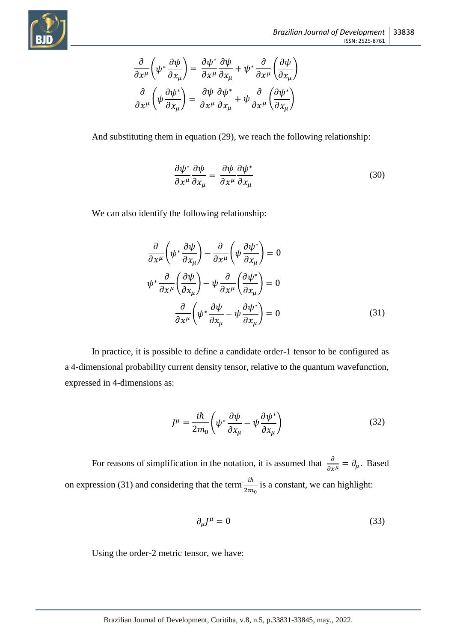$$
\frac{\partial}{\partial x^{\mu}}\left(\psi^{*} \frac{\partial \psi}{\partial x_{\mu}}\right) = \frac{\partial \psi^{*}}{\partial x^{\mu}} \frac{\partial \psi}{\partial x_{\mu}} + \psi^{*} \frac{\partial}{\partial x^{\mu}}\left(\frac{\partial \psi}{\partial x_{\mu}}\right)
$$

$$
\frac{\partial}{\partial x^{\mu}}\left(\psi \frac{\partial \psi^{*}}{\partial x_{\mu}}\right) = \frac{\partial \psi}{\partial x^{\mu}} \frac{\partial \psi^{*}}{\partial x_{\mu}} + \psi \frac{\partial}{\partial x^{\mu}}\left(\frac{\partial \psi^{*}}{\partial x_{\mu}}\right)
$$

And substituting them in equation (29), we reach the following relationship:

$$
\frac{\partial \psi^*}{\partial x^\mu} \frac{\partial \psi}{\partial x_\mu} = \frac{\partial \psi}{\partial x^\mu} \frac{\partial \psi^*}{\partial x_\mu}
$$
(30)

We can also identify the following relationship:

$$
\frac{\partial}{\partial x^{\mu}} \left( \psi^* \frac{\partial \psi}{\partial x_{\mu}} \right) - \frac{\partial}{\partial x^{\mu}} \left( \psi \frac{\partial \psi^*}{\partial x_{\mu}} \right) = 0
$$
\n
$$
\psi^* \frac{\partial}{\partial x^{\mu}} \left( \frac{\partial \psi}{\partial x_{\mu}} \right) - \psi \frac{\partial}{\partial x^{\mu}} \left( \frac{\partial \psi^*}{\partial x_{\mu}} \right) = 0
$$
\n
$$
\frac{\partial}{\partial x^{\mu}} \left( \psi^* \frac{\partial \psi}{\partial x_{\mu}} - \psi \frac{\partial \psi^*}{\partial x_{\mu}} \right) = 0
$$
\n(31)

In practice, it is possible to define a candidate order-1 tensor to be configured as a 4-dimensional probability current density tensor, relative to the quantum wavefunction, expressed in 4-dimensions as:

$$
J^{\mu} = \frac{i\hbar}{2m_0} \left( \psi^* \frac{\partial \psi}{\partial x_{\mu}} - \psi \frac{\partial \psi^*}{\partial x_{\mu}} \right)
$$
(32)

For reasons of simplification in the notation, it is assumed that  $\frac{\partial}{\partial x^{\mu}} = \partial_{\mu}$ . Based on expression (31) and considering that the term  $\frac{i\hbar}{2m_0}$  is a constant, we can highlight:

$$
\partial_{\mu}J^{\mu} = 0 \tag{33}
$$

Using the order-2 metric tensor, we have: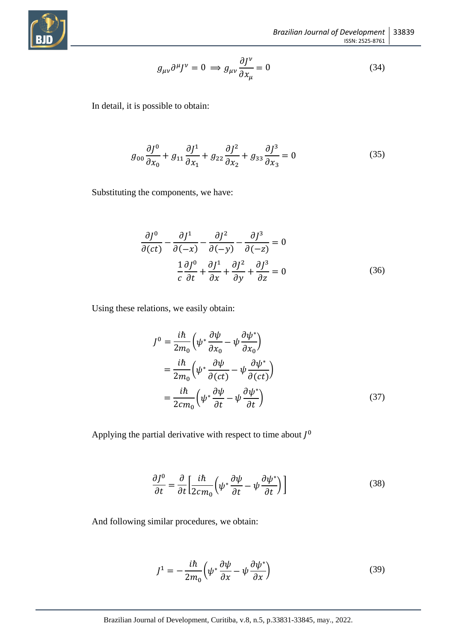

$$
g_{\mu\nu}\partial^{\mu}J^{\nu} = 0 \implies g_{\mu\nu}\frac{\partial J^{\nu}}{\partial x_{\mu}} = 0 \tag{34}
$$

In detail, it is possible to obtain:

$$
g_{00}\frac{\partial J^0}{\partial x_0} + g_{11}\frac{\partial J^1}{\partial x_1} + g_{22}\frac{\partial J^2}{\partial x_2} + g_{33}\frac{\partial J^3}{\partial x_3} = 0
$$
 (35)

Substituting the components, we have:

$$
\frac{\partial J^0}{\partial (ct)} - \frac{\partial J^1}{\partial (-x)} - \frac{\partial J^2}{\partial (-y)} - \frac{\partial J^3}{\partial (-z)} = 0
$$
  

$$
\frac{1}{c} \frac{\partial J^0}{\partial t} + \frac{\partial J^1}{\partial x} + \frac{\partial J^2}{\partial y} + \frac{\partial J^3}{\partial z} = 0
$$
(36)

Using these relations, we easily obtain:

$$
J^{0} = \frac{i\hbar}{2m_{0}} \left( \psi^{*} \frac{\partial \psi}{\partial x_{0}} - \psi \frac{\partial \psi^{*}}{\partial x_{0}} \right)
$$
  

$$
= \frac{i\hbar}{2m_{0}} \left( \psi^{*} \frac{\partial \psi}{\partial (ct)} - \psi \frac{\partial \psi^{*}}{\partial (ct)} \right)
$$
  

$$
= \frac{i\hbar}{2cm_{0}} \left( \psi^{*} \frac{\partial \psi}{\partial t} - \psi \frac{\partial \psi^{*}}{\partial t} \right)
$$
(37)

Applying the partial derivative with respect to time about  $J^0$ 

$$
\frac{\partial J^0}{\partial t} = \frac{\partial}{\partial t} \left[ \frac{i\hbar}{2c m_0} \left( \psi^* \frac{\partial \psi}{\partial t} - \psi \frac{\partial \psi^*}{\partial t} \right) \right]
$$
(38)

And following similar procedures, we obtain:

$$
J^{1} = -\frac{i\hbar}{2m_{0}} \left( \psi^{*} \frac{\partial \psi}{\partial x} - \psi \frac{\partial \psi^{*}}{\partial x} \right)
$$
 (39)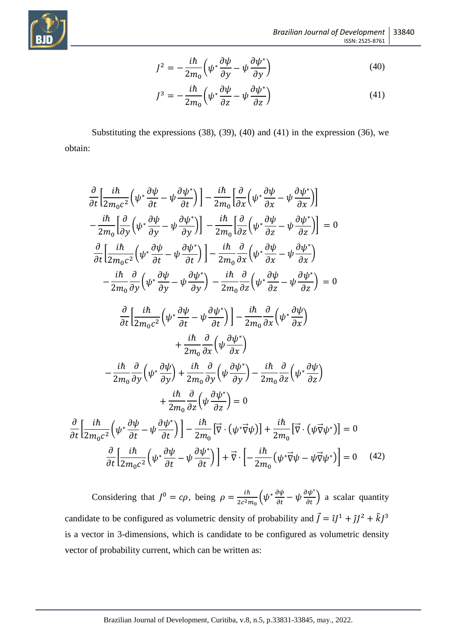$$
\binom{2}{\text{BD}}
$$

 $\partial$ 

$$
J^{2} = -\frac{i\hbar}{2m_{0}} \left( \psi^{*} \frac{\partial \psi}{\partial y} - \psi \frac{\partial \psi^{*}}{\partial y} \right)
$$
(40)

$$
J^3 = -\frac{i\hbar}{2m_0} \left( \psi^* \frac{\partial \psi}{\partial z} - \psi \frac{\partial \psi^*}{\partial z} \right)
$$
(41)

Substituting the expressions (38), (39), (40) and (41) in the expression (36), we obtain:

$$
\frac{\partial}{\partial t} \left[ \frac{i\hbar}{2m_0c^2} \left( \psi^* \frac{\partial \psi}{\partial t} - \psi \frac{\partial \psi^*}{\partial t} \right) \right] - \frac{i\hbar}{2m_0} \left[ \frac{\partial}{\partial x} \left( \psi^* \frac{\partial \psi}{\partial x} - \psi \frac{\partial \psi^*}{\partial x} \right) \right]
$$
\n
$$
- \frac{i\hbar}{2m_0} \left[ \frac{\partial}{\partial y} \left( \psi^* \frac{\partial \psi}{\partial y} - \psi \frac{\partial \psi^*}{\partial y} \right) \right] - \frac{i\hbar}{2m_0} \left[ \frac{\partial}{\partial z} \left( \psi^* \frac{\partial \psi}{\partial z} - \psi \frac{\partial \psi^*}{\partial z} \right) \right] = 0
$$
\n
$$
\frac{\partial}{\partial t} \left[ \frac{i\hbar}{2m_0c^2} \left( \psi^* \frac{\partial \psi}{\partial t} - \psi \frac{\partial \psi^*}{\partial t} \right) \right] - \frac{i\hbar}{2m_0} \frac{\partial}{\partial x} \left( \psi^* \frac{\partial \psi}{\partial x} - \psi \frac{\partial \psi^*}{\partial x} \right)
$$
\n
$$
- \frac{i\hbar}{2m_0} \frac{\partial}{\partial y} \left( \psi^* \frac{\partial \psi}{\partial y} - \psi \frac{\partial \psi^*}{\partial y} \right) - \frac{i\hbar}{2m_0} \frac{\partial}{\partial z} \left( \psi^* \frac{\partial \psi}{\partial z} - \psi \frac{\partial \psi^*}{\partial z} \right) = 0
$$
\n
$$
\frac{\partial}{\partial t} \left[ \frac{i\hbar}{2m_0c^2} \left( \psi^* \frac{\partial \psi}{\partial t} - \psi \frac{\partial \psi^*}{\partial t} \right) \right] - \frac{i\hbar}{2m_0} \frac{\partial}{\partial x} \left( \psi^* \frac{\partial \psi}{\partial x} \right)
$$
\n
$$
+ \frac{i\hbar}{2m_0} \frac{\partial}{\partial x} \left( \psi \frac{\partial \psi^*}{\partial y} \right)
$$
\n
$$
- \frac{i\hbar}{2m_0} \frac{\partial}{\partial y} \left( \psi^* \frac{\partial \psi}{\partial y} \
$$

Considering that  $J^0 = c\rho$ , being  $\rho = \frac{i\hbar}{2\sigma^2}$  $\frac{i\hbar}{2c^2m_0} \left( \psi^* \frac{\partial \psi}{\partial t} - \psi \frac{\partial \psi^*}{\partial t} \right)$  a scalar quantity candidate to be configured as volumetric density of probability and  $\vec{J} = \hat{i}J^1 + \hat{j}J^2 + \hat{k}J^3$ is a vector in 3-dimensions, which is candidate to be configured as volumetric density vector of probability current, which can be written as: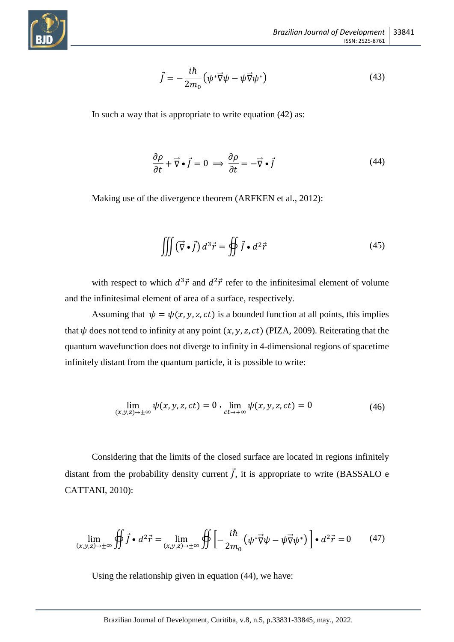

$$
\vec{J} = -\frac{i\hbar}{2m_0} \left( \psi^* \vec{\nabla} \psi - \psi \vec{\nabla} \psi^* \right)
$$
(43)

In such a way that is appropriate to write equation (42) as:

$$
\frac{\partial \rho}{\partial t} + \vec{\nabla} \cdot \vec{j} = 0 \implies \frac{\partial \rho}{\partial t} = -\vec{\nabla} \cdot \vec{j}
$$
(44)

Making use of the divergence theorem (ARFKEN et al., 2012):

$$
\iiint (\vec{\nabla} \cdot \vec{f}) d^3 \vec{r} = \oiint \vec{f} \cdot d^2 \vec{r}
$$
 (45)

with respect to which  $d^3\vec{r}$  and  $d^2\vec{r}$  refer to the infinitesimal element of volume and the infinitesimal element of area of a surface, respectively.

Assuming that  $\psi = \psi(x, y, z, ct)$  is a bounded function at all points, this implies that  $\psi$  does not tend to infinity at any point  $(x, y, z, ct)$  (PIZA, 2009). Reiterating that the quantum wavefunction does not diverge to infinity in 4-dimensional regions of spacetime infinitely distant from the quantum particle, it is possible to write:

$$
\lim_{(x,y,z)\to\pm\infty}\psi(x,y,z,ct)=0\,,\,\lim_{ct\to+\infty}\psi(x,y,z,ct)=0\tag{46}
$$

Considering that the limits of the closed surface are located in regions infinitely distant from the probability density current  $\vec{J}$ , it is appropriate to write (BASSALO e CATTANI, 2010):

$$
\lim_{(x,y,z)\to\pm\infty} \oiint \vec{f} \cdot d^2\vec{r} = \lim_{(x,y,z)\to\pm\infty} \oiint \left[ -\frac{i\hbar}{2m_0} \left( \psi^* \vec{\nabla} \psi - \psi \vec{\nabla} \psi^* \right) \right] \cdot d^2\vec{r} = 0 \tag{47}
$$

Using the relationship given in equation (44), we have: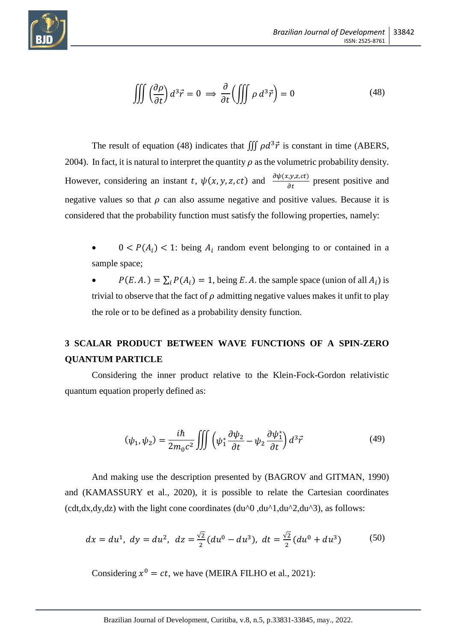

$$
\iiint \left(\frac{\partial \rho}{\partial t}\right) d^3 \vec{r} = 0 \implies \frac{\partial}{\partial t} \left(\iiint \rho \, d^3 \vec{r}\right) = 0 \tag{48}
$$

The result of equation (48) indicates that  $\iiint \rho d^3 \vec{r}$  is constant in time (ABERS, 2004). In fact, it is natural to interpret the quantity  $\rho$  as the volumetric probability density. However, considering an instant t,  $\psi(x, y, z, ct)$  and  $\frac{\partial \psi(x, y, z, ct)}{\partial t}$  present positive and negative values so that  $\rho$  can also assume negative and positive values. Because it is considered that the probability function must satisfy the following properties, namely:

- $0 < P(A_i) < 1$ : being  $A_i$  random event belonging to or contained in a sample space;
- $P(E.A.) = \sum_i P(A_i) = 1$ , being E.A. the sample space (union of all  $A_i$ ) is trivial to observe that the fact of  $\rho$  admitting negative values makes it unfit to play the role or to be defined as a probability density function.

# **3 SCALAR PRODUCT BETWEEN WAVE FUNCTIONS OF A SPIN-ZERO QUANTUM PARTICLE**

Considering the inner product relative to the Klein-Fock-Gordon relativistic quantum equation properly defined as:

$$
(\psi_1, \psi_2) = \frac{i\hbar}{2m_0 c^2} \iiint \left(\psi_1^* \frac{\partial \psi_2}{\partial t} - \psi_2 \frac{\partial \psi_1^*}{\partial t}\right) d^3 \vec{r}
$$
(49)

And making use the description presented by (BAGROV and GITMAN, 1990) and (KAMASSURY et al., 2020), it is possible to relate the Cartesian coordinates (cdt,dx,dy,dz) with the light cone coordinates  $(du<sup>0</sup>, du<sup>1</sup>, du<sup>2</sup>, du<sup>3</sup>)$ , as follows:

$$
dx = du^1
$$
,  $dy = du^2$ ,  $dz = \frac{\sqrt{2}}{2}(du^0 - du^3)$ ,  $dt = \frac{\sqrt{2}}{2}(du^0 + du^3)$  (50)

Considering  $x^0 = ct$ , we have (MEIRA FILHO et al., 2021):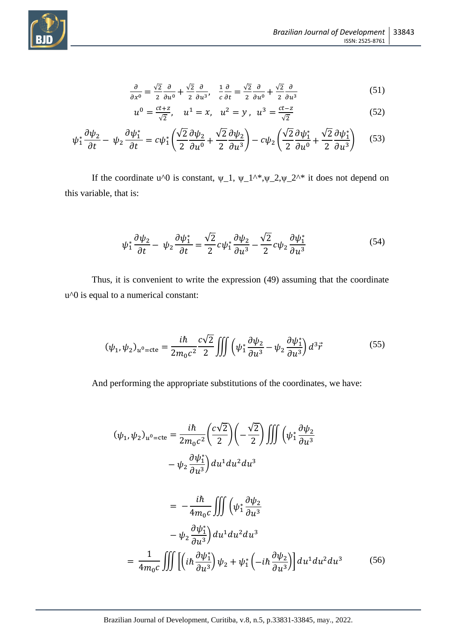



$$
\frac{\partial}{\partial x^0} = \frac{\sqrt{2}}{2} \frac{\partial}{\partial u^0} + \frac{\sqrt{2}}{2} \frac{\partial}{\partial u^3}, \quad \frac{1}{c} \frac{\partial}{\partial t} = \frac{\sqrt{2}}{2} \frac{\partial}{\partial u^0} + \frac{\sqrt{2}}{2} \frac{\partial}{\partial u^3}
$$
(51)

$$
u^{0} = \frac{ct + z}{\sqrt{2}}, \quad u^{1} = x, \quad u^{2} = y, \quad u^{3} = \frac{ct - z}{\sqrt{2}}
$$
 (52)

$$
\psi_1^* \frac{\partial \psi_2}{\partial t} - \psi_2 \frac{\partial \psi_1^*}{\partial t} = c\psi_1^* \left( \frac{\sqrt{2}}{2} \frac{\partial \psi_2}{\partial u^0} + \frac{\sqrt{2}}{2} \frac{\partial \psi_2}{\partial u^3} \right) - c\psi_2 \left( \frac{\sqrt{2}}{2} \frac{\partial \psi_1^*}{\partial u^0} + \frac{\sqrt{2}}{2} \frac{\partial \psi_1^*}{\partial u^3} \right) \tag{53}
$$

If the coordinate u^0 is constant,  $\psi_1$ ,  $\psi_1^*$ ,  $\psi_2^*$ ,  $\psi_2^*$  it does not depend on this variable, that is:

$$
\psi_1^* \frac{\partial \psi_2}{\partial t} - \psi_2 \frac{\partial \psi_1^*}{\partial t} = \frac{\sqrt{2}}{2} c \psi_1^* \frac{\partial \psi_2}{\partial u^3} - \frac{\sqrt{2}}{2} c \psi_2 \frac{\partial \psi_1^*}{\partial u^3}
$$
(54)

Thus, it is convenient to write the expression (49) assuming that the coordinate u^0 is equal to a numerical constant:

$$
(\psi_1, \psi_2)_{u^0 = \text{cte}} = \frac{i\hbar}{2m_0 c^2} \frac{c\sqrt{2}}{2} \iiint \left(\psi_1^* \frac{\partial \psi_2}{\partial u^3} - \psi_2 \frac{\partial \psi_1^*}{\partial u^3}\right) d^3 \vec{r}
$$
(55)

And performing the appropriate substitutions of the coordinates, we have:

$$
(\psi_1, \psi_2)_{u^0 = \text{cte}} = \frac{i\hbar}{2m_0 c^2} \left(\frac{c\sqrt{2}}{2}\right) \left(-\frac{\sqrt{2}}{2}\right) \iiint \left(\psi_1^* \frac{\partial \psi_2}{\partial u^3} - \psi_2 \frac{\partial \psi_1^*}{\partial u^3}\right) du^1 du^2 du^3
$$

$$
= -\frac{i\hbar}{4m_0 c} \iiint \left(\psi_1^* \frac{\partial \psi_2}{\partial u^3} - \psi_2 \frac{\partial \psi_1^*}{\partial u^3}\right) du^1 du^2 du^3
$$

$$
= \frac{1}{4m_0 c} \iiint \left[\left(i\hbar \frac{\partial \psi_1^*}{\partial u^3}\right) \psi_2 + \psi_1^* \left(-i\hbar \frac{\partial \psi_2}{\partial u^3}\right)\right] du^1 du^2 du^3 \tag{56}
$$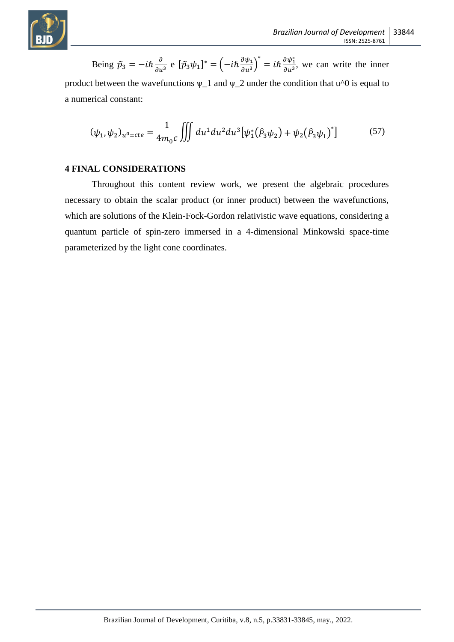

Being 
$$
\tilde{p}_3 = -i\hbar \frac{\partial}{\partial u^3}
$$
 e  $[\tilde{p}_3 \psi_1]^* = (-i\hbar \frac{\partial \psi_1}{\partial u^3})^* = i\hbar \frac{\partial \psi_1^*}{\partial u^3}$ , we can write the inner

product between the wavefunctions  $\psi_1$  and  $\psi_2$  under the condition that u<sup> $\gamma$ </sup> is equal to a numerical constant:

$$
(\psi_1, \psi_2)_{u^0 = cte} = \frac{1}{4m_0 c} \iiint du^1 du^2 du^3 [\psi_1^*(\hat{P}_3 \psi_2) + \psi_2(\hat{P}_3 \psi_1)^*]
$$
(57)

# **4 FINAL CONSIDERATIONS**

Throughout this content review work, we present the algebraic procedures necessary to obtain the scalar product (or inner product) between the wavefunctions, which are solutions of the Klein-Fock-Gordon relativistic wave equations, considering a quantum particle of spin-zero immersed in a 4-dimensional Minkowski space-time parameterized by the light cone coordinates.